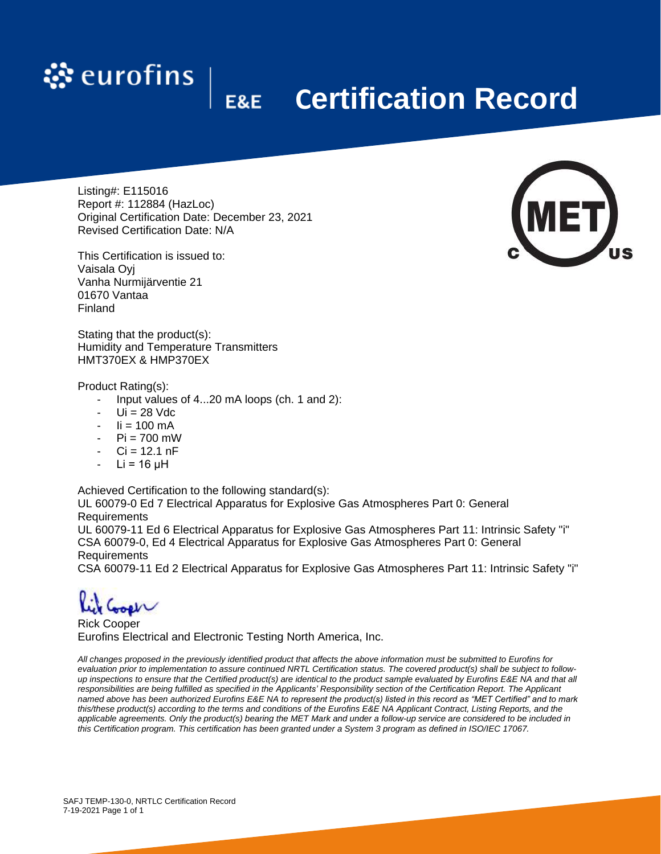

## **Certification Record**

Listing#: E115016 Report #: 112884 (HazLoc) Original Certification Date: December 23, 2021 Revised Certification Date: N/A

This Certification is issued to: Vaisala Oyj Vanha Nurmijärventie 21 01670 Vantaa Finland

Stating that the product(s): Humidity and Temperature Transmitters HMT370EX & HMP370EX

## Product Rating(s):

- Input values of 4...20 mA loops (ch. 1 and 2):
- Ui = 28 Vdc
- $\text{li} = 100 \text{ mA}$
- $-Pi = 700$  mW
- $Ci = 12.1 nF$
- $Li = 16$   $uH$

Achieved Certification to the following standard(s):

UL 60079-0 Ed 7 Electrical Apparatus for Explosive Gas Atmospheres Part 0: General Requirements

UL 60079-11 Ed 6 Electrical Apparatus for Explosive Gas Atmospheres Part 11: Intrinsic Safety "i" CSA 60079-0, Ed 4 Electrical Apparatus for Explosive Gas Atmospheres Part 0: General Requirements

CSA 60079-11 Ed 2 Electrical Apparatus for Explosive Gas Atmospheres Part 11: Intrinsic Safety "i"

 $W$ 

Rick Cooper Eurofins Electrical and Electronic Testing North America, Inc.

*All changes proposed in the previously identified product that affects the above information must be submitted to Eurofins for evaluation prior to implementation to assure continued NRTL Certification status. The covered product(s) shall be subject to followup inspections to ensure that the Certified product(s) are identical to the product sample evaluated by Eurofins E&E NA and that all responsibilities are being fulfilled as specified in the Applicants' Responsibility section of the Certification Report. The Applicant named above has been authorized Eurofins E&E NA to represent the product(s) listed in this record as "MET Certified" and to mark this/these product(s) according to the terms and conditions of the Eurofins E&E NA Applicant Contract, Listing Reports, and the applicable agreements. Only the product(s) bearing the MET Mark and under a follow-up service are considered to be included in this Certification program. This certification has been granted under a System 3 program as defined in ISO/IEC 17067.*